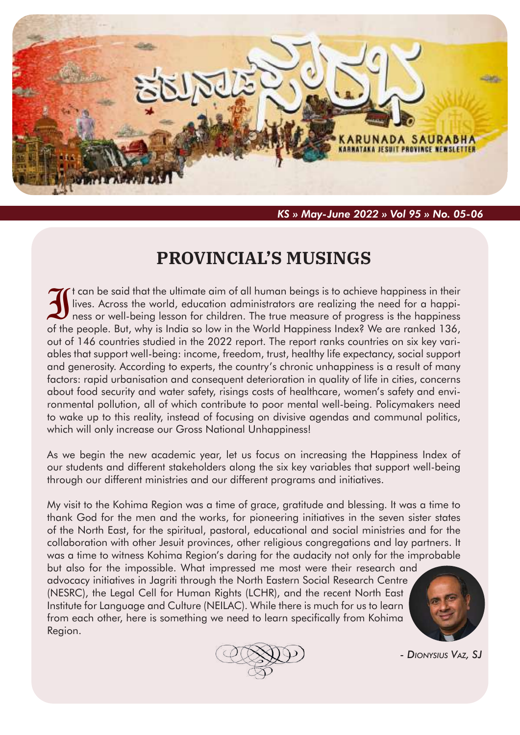

*KS » May-June 2022 » Vol 95 » No. 05-06*

# **PROVINCIAL'S MUSINGS**

It can be said that the ultimate aim of all human beings is to achieve happiness in their lives. Across the world, education administrators are realizing the need for a happiness or well-being lesson for children. The true measure of progress is the happiness of the people. But, why is India so low in the World Happiness Index? We are ranked 136, out of 146 countries studied in the 2022 report. The report ranks countries on six key variables that support well-being: income, freedom, trust, healthy life expectancy, social support and generosity. According to experts, the country's chronic unhappiness is a result of many factors: rapid urbanisation and consequent deterioration in quality of life in cities, concerns about food security and water safety, risings costs of healthcare, women's safety and environmental pollution, all of which contribute to poor mental well-being. Policymakers need to wake up to this reality, instead of focusing on divisive agendas and communal politics, which will only increase our Gross National Unhappiness!

As we begin the new academic year, let us focus on increasing the Happiness Index of our students and different stakeholders along the six key variables that support well-being through our different ministries and our different programs and initiatives.

My visit to the Kohima Region was a time of grace, gratitude and blessing. It was a time to thank God for the men and the works, for pioneering initiatives in the seven sister states of the North East, for the spiritual, pastoral, educational and social ministries and for the collaboration with other Jesuit provinces, other religious congregations and lay partners. It was a time to witness Kohima Region's daring for the audacity not only for the improbable

but also for the impossible. What impressed me most were their research and advocacy initiatives in Jagriti through the North Eastern Social Research Centre (NESRC), the Legal Cell for Human Rights (LCHR), and the recent North East Institute for Language and Culture (NEILAC). While there is much for us to learn from each other, here is something we need to learn specifically from Kohima Region.





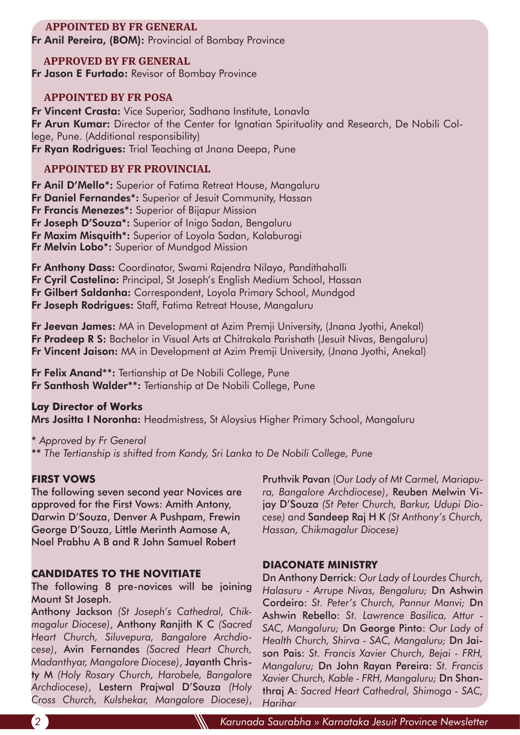# **APPOINTED BY FR GENERAL**

Fr Anil Pereira, (BOM): Provincial of Bombay Province

# **APPROVED BY FR GENERAL**

**Fr Jason E Furtado:** Revisor of Bombay Province

## **APPOINTED BY FR POSA**

Fr Vincent Crasta: Vice Superior, Sadhana Institute, Lonavla Fr Arun Kumar: Director of the Center for Ignatian Spirituality and Research, De Nobili College, Pune. (Additional responsibility) Fr Ryan Rodriques: Trial Teaching at Jnana Deepa, Pune

# **APPOINTED BY FR PROVINCIAL**

Fr Anil D'Mello\*: Superior of Fatima Retreat House, Mangaluru Fr Daniel Fernandes\*: Superior of Jesuit Community, Hassan Fr Francis Menezes\*: Superior of Bijapur Mission Fr Joseph D'Souza\*: Superior of Inigo Sadan, Bengaluru Fr Maxim Misquith\*: Superior of Loyola Sadan, Kalaburagi Fr Melvin Lobo\*: Superior of Mundgod Mission

Fr Anthony Dass: Coordinator, Swami Rajendra Nilaya, Pandithahalli Fr Cyril Castelino: Principal, St Joseph's English Medium School, Hassan Fr Gilbert Saldanha: Correspondent, Loyola Primary School, Mundgod Fr Joseph Rodrigues: Staff, Fatima Retreat House, Mangaluru

Fr Jeevan James: MA in Development at Azim Premji University, (Jnana Jyothi, Anekal) Fr Pradeep R S: Bachelor in Visual Arts at Chitrakala Parishath (Jesuit Nivas, Bengaluru) Fr Vincent Jaison: MA in Development at Azim Premji University, (Jnana Jyothi, Anekal)

Fr Felix Anand\*\*: Tertianship at De Nobili College, Pune Fr Santhosh Walder\*\*: Tertianship at De Nobili College, Pune

### **Lay Director of Works**

Mrs Jositta I Noronha: Headmistress, St Aloysius Higher Primary School, Mangaluru

\* *Approved by Fr General* \*\* *The Tertianship is shifted from Kandy, Sri Lanka to De Nobili College, Pune* 

### **FIRST VOWS**

The following seven second year Novices are approved for the First Vows: Amith Antony, Darwin D'Souza, Denver A Pushpam, Frewin George D'Souza, Little Merinth Aamose A, Noel Prabhu A B and R John Samuel Robert

# **CANDIDATES TO THE NOVITIATE**

The following 8 pre-novices will be joining Mount St Joseph.

Anthony Jackson *(St Joseph's Cathedral, Chikmagalur Diocese)*, Anthony Ranjith K C *(Sacred Heart Church, Siluvepura, Bangalore Archdiocese)*, Avin Fernandes *(Sacred Heart Church, Madanthyar, Mangalore Diocese)*, Jayanth Christy M *(Holy Rosary Church, Harobele, Bangalore Archdiocese)*, Lestern Prajwal D'Souza *(Holy Cross Church, Kulshekar, Mangalore Diocese)*,

Pruthvik Pavan (*Our Lady of Mt Carmel, Mariapura, Bangalore Archdiocese)*, Reuben Melwin Vijay D'Souza *(St Peter Church, Barkur, Udupi Diocese)* and Sandeep Raj H K *(St Anthony's Church, Hassan, Chikmagalur Diocese)*

### **DIACONATE MINISTRY**

Dn Anthony Derrick: *Our Lady of Lourdes Church, Halasuru - Arrupe Nivas, Bengaluru;* Dn Ashwin Cordeiro: *St. Peter's Church, Pannur Manvi;* Dn Ashwin Rebello: *St. Lawrence Basilica, Attur - SAC, Mangaluru;* Dn George Pinto: *Our Lady of Health Church, Shirva - SAC, Mangaluru;* Dn Jaison Pais: *St. Francis Xavier Church, Bejai - FRH, Mangaluru;* Dn John Rayan Pereira: *St. Francis Xavier Church, Kable - FRH, Mangaluru;* Dn Shanthraj A: *Sacred Heart Cathedral, Shimoga - SAC, Harihar*

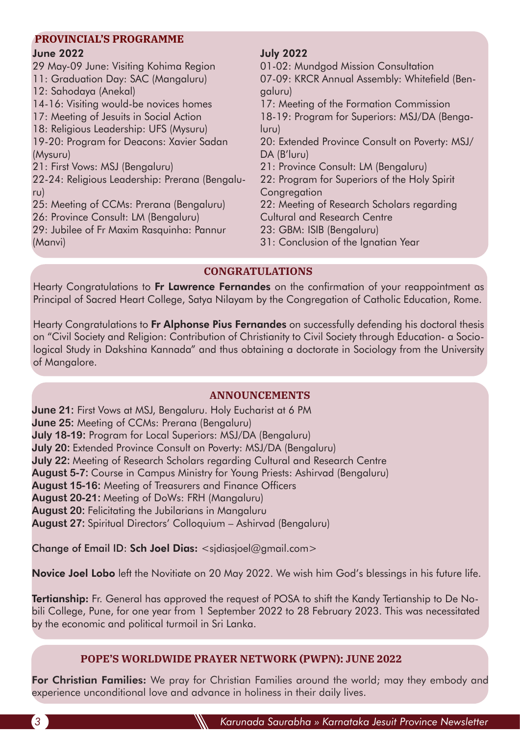# **PROVINCIAL'S PROGRAMME**

# June 2022

29 May-09 June: Visiting Kohima Region 11: Graduation Day: SAC (Mangaluru) 12: Sahodaya (Anekal)

- 14-16: Visiting would-be novices homes
- 17: Meeting of Jesuits in Social Action

18: Religious Leadership: UFS (Mysuru)

19-20: Program for Deacons: Xavier Sadan (Mysuru)

21: First Vows: MSJ (Bengaluru)

22-24: Religious Leadership: Prerana (Bengaluru)

25: Meeting of CCMs: Prerana (Bengaluru)

26: Province Consult: LM (Bengaluru)

29: Jubilee of Fr Maxim Rasquinha: Pannur (Manvi)

# July 2022

01-02: Mundgod Mission Consultation 07-09: KRCR Annual Assembly: Whitefield (Bengaluru) 17: Meeting of the Formation Commission 18-19: Program for Superiors: MSJ/DA (Benga-

luru) 20: Extended Province Consult on Poverty: MSJ/ DA (B'luru)

21: Province Consult: LM (Bengaluru)

22: Program for Superiors of the Holy Spirit **Congregation** 

22: Meeting of Research Scholars regarding

Cultural and Research Centre

23: GBM: ISIB (Bengaluru)

31: Conclusion of the Ignatian Year

# **CONGRATULATIONS**

Hearty Congratulations to Fr Lawrence Fernandes on the confirmation of your reappointment as Principal of Sacred Heart College, Satya Nilayam by the Congregation of Catholic Education, Rome.

Hearty Congratulations to Fr Alphonse Pius Fernandes on successfully defending his doctoral thesis on "Civil Society and Religion: Contribution of Christianity to Civil Society through Education- a Sociological Study in Dakshina Kannada" and thus obtaining a doctorate in Sociology from the University of Mangalore.

# **ANNOUNCEMENTS**

**June 21:** First Vows at MSJ, Bengaluru. Holy Eucharist at 6 PM **June 25:** Meeting of CCMs: Prerana (Bengaluru) **July 18-19:** Program for Local Superiors: MSJ/DA (Bengaluru) **July 20:** Extended Province Consult on Poverty: MSJ/DA (Bengaluru) **July 22:** Meeting of Research Scholars regarding Cultural and Research Centre **August 5-7:** Course in Campus Ministry for Young Priests: Ashirvad (Bengaluru) **August 15-16:** Meeting of Treasurers and Finance Officers **August 20-21:** Meeting of DoWs: FRH (Mangaluru) **August 20:** Felicitating the Jubilarians in Mangaluru **August 27:** Spiritual Directors' Colloquium – Ashirvad (Bengaluru)

Change of Email ID: Sch Joel Dias: <sjdiasjoel@gmail.com>

Novice Joel Lobo left the Novitiate on 20 May 2022. We wish him God's blessings in his future life.

Tertianship: Fr. General has approved the request of POSA to shift the Kandy Tertianship to De Nobili College, Pune, for one year from 1 September 2022 to 28 February 2023. This was necessitated by the economic and political turmoil in Sri Lanka.

# **POPE'S WORLDWIDE PRAYER NETWORK (PWPN): JUNE 2022**

For Christian Families: We pray for Christian Families around the world; may they embody and experience unconditional love and advance in holiness in their daily lives.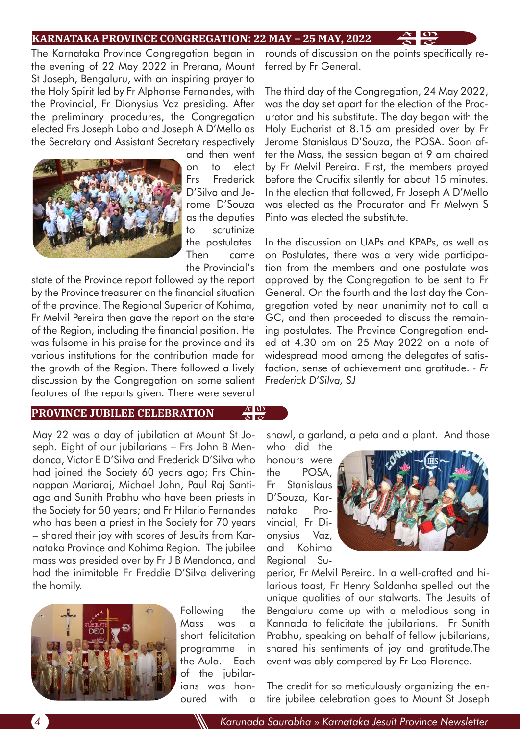### **KARNATAKA PROVINCE CONGREGATION: 22 MAY – 25 MAY, 2022**

The Karnataka Province Congregation began in the evening of 22 May 2022 in Prerana, Mount St Joseph, Bengaluru, with an inspiring prayer to the Holy Spirit led by Fr Alphonse Fernandes, with the Provincial, Fr Dionysius Vaz presiding. After the preliminary procedures, the Congregation elected Frs Joseph Lobo and Joseph A D'Mello as the Secretary and Assistant Secretary respectively



and then went on to elect Frs Frederick D'Silva and Jerome D'Souza as the deputies to scrutinize the postulates. Then came the Provincial's

state of the Province report followed by the report by the Province treasurer on the financial situation of the province. The Regional Superior of Kohima, Fr Melvil Pereira then gave the report on the state of the Region, including the financial position. He was fulsome in his praise for the province and its various institutions for the contribution made for the growth of the Region. There followed a lively discussion by the Congregation on some salient features of the reports given. There were several

### **PROVINCE JUBILEE CELEBRATION**

May 22 was a day of jubilation at Mount St Joseph. Eight of our jubilarians – Frs John B Mendonca, Victor E D'Silva and Frederick D'Silva who had joined the Society 60 years ago; Frs Chinnappan Mariaraj, Michael John, Paul Raj Santiago and Sunith Prabhu who have been priests in the Society for 50 years; and Fr Hilario Fernandes who has been a priest in the Society for 70 years – shared their joy with scores of Jesuits from Karnataka Province and Kohima Region. The jubilee mass was presided over by Fr J B Mendonca, and had the inimitable Fr Freddie D'Silva delivering the homily.



Following the Mass was a short felicitation programme in the Aula. Each of the jubilarians was honoured with a

rounds of discussion on the points specifically referred by Fr General.

The third day of the Congregation, 24 May 2022, was the day set apart for the election of the Procurator and his substitute. The day began with the Holy Eucharist at 8.15 am presided over by Fr Jerome Stanislaus D'Souza, the POSA. Soon after the Mass, the session began at 9 am chaired by Fr Melvil Pereira. First, the members prayed before the Crucifix silently for about 15 minutes. In the election that followed, Fr Joseph A D'Mello was elected as the Procurator and Fr Melwyn S Pinto was elected the substitute.

In the discussion on UAPs and KPAPs, as well as on Postulates, there was a very wide participation from the members and one postulate was approved by the Congregation to be sent to Fr General. On the fourth and the last day the Congregation voted by near unanimity not to call a GC, and then proceeded to discuss the remaining postulates. The Province Congregation ended at 4.30 pm on 25 May 2022 on a note of widespread mood among the delegates of satisfaction, sense of achievement and gratitude. *- Fr Frederick D'Silva, SJ*

shawl, a garland, a peta and a plant. And those

who did the honours were the POSA, Fr Stanislaus D'Souza, Karnataka Provincial, Fr Dionysius Vaz, and Kohima Regional Su-

 $\frac{x}{\delta} \frac{0}{\varsigma}$ 



perior, Fr Melvil Pereira. In a well-crafted and hilarious toast, Fr Henry Saldanha spelled out the unique qualities of our stalwarts. The Jesuits of Bengaluru came up with a melodious song in Kannada to felicitate the jubilarians. Fr Sunith Prabhu, speaking on behalf of fellow jubilarians, shared his sentiments of joy and gratitude.The event was ably compered by Fr Leo Florence.

The credit for so meticulously organizing the entire jubilee celebration goes to Mount St Joseph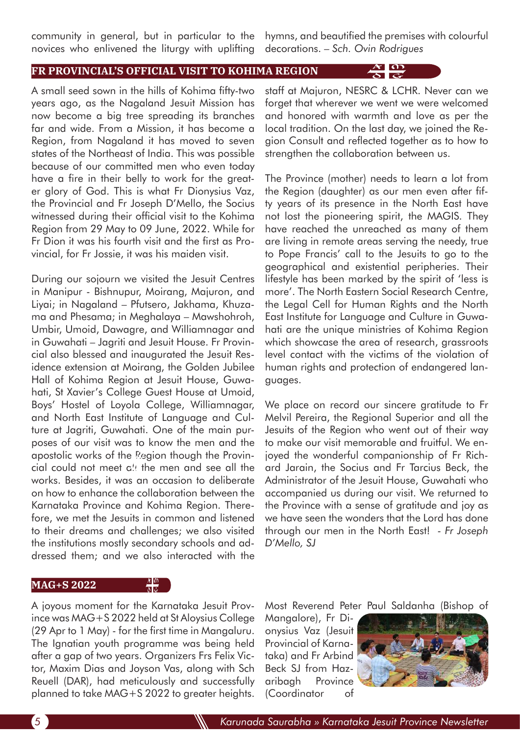community in general, but in particular to the novices who enlivened the liturgy with uplifting

hymns, and beautified the premises with colourful decorations. *– Sch. Ovin Rodrigues*

### **FR PROVINCIAL'S OFFICIAL VISIT TO KOHIMA REGION**

A small seed sown in the hills of Kohima fifty-two years ago, as the Nagaland Jesuit Mission has now become a big tree spreading its branches far and wide. From a Mission, it has become a Region, from Nagaland it has moved to seven states of the Northeast of India. This was possible because of our committed men who even today have a fire in their belly to work for the greater glory of God. This is what Fr Dionysius Vaz, the Provincial and Fr Joseph D'Mello, the Socius witnessed during their official visit to the Kohima Region from 29 May to 09 June, 2022. While for Fr Dion it was his fourth visit and the first as Provincial, for Fr Jossie, it was his maiden visit.

During our sojourn we visited the Jesuit Centres in Manipur - Bishnupur, Moirang, Majuron, and Liyai; in Nagaland – Pfutsero, Jakhama, Khuzama and Phesama; in Meghalaya – Mawshohroh, Umbir, Umoid, Dawagre, and Williamnagar and in Guwahati – Jagriti and Jesuit House. Fr Provincial also blessed and inaugurated the Jesuit Residence extension at Moirang, the Golden Jubilee Hall of Kohima Region at Jesuit House, Guwahati, St Xavier's College Guest House at Umoid, Boys' Hostel of Loyola College, Williamnagar, and North East Institute of Language and Culture at Jagriti, Guwahati. One of the main purposes of our visit was to know the men and the apostolic works of the Region though the Provincial could not meet  $a$ ! the men and see all the works. Besides, it was an occasion to deliberate on how to enhance the collaboration between the Karnataka Province and Kohima Region. Therefore, we met the Jesuits in common and listened to their dreams and challenges; we also visited the institutions mostly secondary schools and addressed them; and we also interacted with the

#### **MAG+S 2022**

 $\frac{\lambda \ln n}{\delta \ln n}$ 

staff at Majuron, NESRC & LCHR. Never can we forget that wherever we went we were welcomed and honored with warmth and love as per the local tradition. On the last day, we joined the Region Consult and reflected together as to how to strengthen the collaboration between us.

The Province (mother) needs to learn a lot from the Region (daughter) as our men even after fifty years of its presence in the North East have not lost the pioneering spirit, the MAGIS. They have reached the unreached as many of them are living in remote areas serving the needy, true to Pope Francis' call to the Jesuits to go to the geographical and existential peripheries. Their lifestyle has been marked by the spirit of 'less is more'. The North Eastern Social Research Centre, the Legal Cell for Human Rights and the North East Institute for Language and Culture in Guwahati are the unique ministries of Kohima Region which showcase the area of research, grassroots level contact with the victims of the violation of human rights and protection of endangered languages.

We place on record our sincere gratitude to Fr Melvil Pereira, the Regional Superior and all the Jesuits of the Region who went out of their way to make our visit memorable and fruitful. We enjoyed the wonderful companionship of Fr Richard Jarain, the Socius and Fr Tarcius Beck, the Administrator of the Jesuit House, Guwahati who accompanied us during our visit. We returned to the Province with a sense of gratitude and joy as we have seen the wonders that the Lord has done through our men in the North East! *- Fr Joseph D'Mello, SJ*

A joyous moment for the Karnataka Jesuit Province was MAG+S 2022 held at St Aloysius College (29 Apr to 1 May) - for the first time in Mangaluru. The Ignatian youth programme was being held after a gap of two years. Organizers Frs Felix Victor, Maxim Dias and Joyson Vas, along with Sch Reuell (DAR), had meticulously and successfully planned to take MAG+S 2022 to greater heights.

Most Reverend Peter Paul Saldanha (Bishop of

Mangalore), Fr Dionysius Vaz (Jesuit Provincial of Karnataka) and Fr Arbind Beck SJ from Hazaribagh Province (Coordinator of

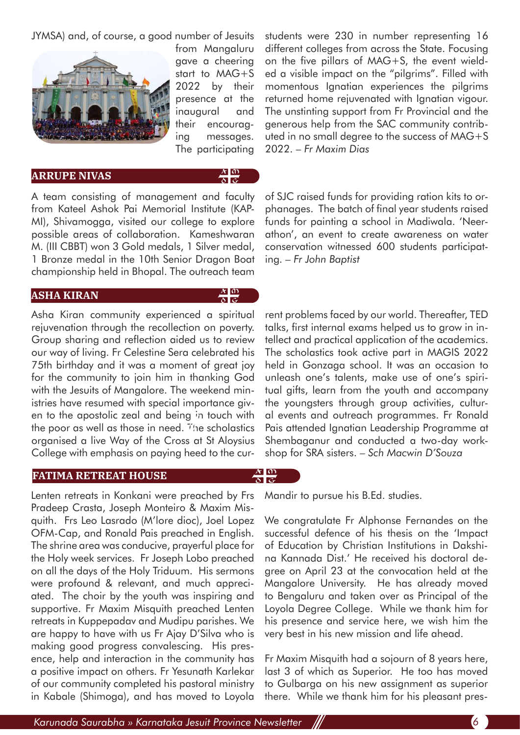JYMSA) and, of course, a good number of Jesuits



from Mangaluru gave a cheering start to MAG+S 2022 by their presence at the inaugural and their encouraging messages. The participating

**ARRUPE NIVAS** 



A team consisting of management and faculty from Kateel Ashok Pai Memorial Institute (KAP-MI), Shivamogga, visited our college to explore possible areas of collaboration. Kameshwaran M. (III CBBT) won 3 Gold medals, 1 Silver medal, 1 Bronze medal in the 10th Senior Dragon Boat championship held in Bhopal. The outreach team

### **ASHA KIRAN**

# $\frac{\lambda}{\delta} \frac{0}{\varsigma}$

Asha Kiran community experienced a spiritual rejuvenation through the recollection on poverty. Group sharing and reflection aided us to review our way of living. Fr Celestine Sera celebrated his 75th birthday and it was a moment of great joy for the community to join him in thanking God with the Jesuits of Mangalore. The weekend ministries have resumed with special importance given to the apostolic zeal and being in touch with the poor as well as those in need. The scholastics organised a live Way of the Cross at St Aloysius College with emphasis on paying heed to the cur-

### **FATIMA RETREAT HOUSE**

Lenten retreats in Konkani were preached by Frs Pradeep Crasta, Joseph Monteiro & Maxim Misquith. Frs Leo Lasrado (M'lore dioc), Joel Lopez OFM-Cap, and Ronald Pais preached in English. The shrine area was conducive, prayerful place for the Holy week services. Fr Joseph Lobo preached on all the days of the Holy Triduum. His sermons were profound & relevant, and much appreciated. The choir by the youth was inspiring and supportive. Fr Maxim Misquith preached Lenten retreats in Kuppepadav and Mudipu parishes. We are happy to have with us Fr Ajay D'Silva who is making good progress convalescing. His presence, help and interaction in the community has a positive impact on others. Fr Yesunath Karlekar of our community completed his pastoral ministry in Kabale (Shimoga), and has moved to Loyola

students were 230 in number representing 16 different colleges from across the State. Focusing on the five pillars of MAG+S, the event wielded a visible impact on the "pilgrims". Filled with momentous Ignatian experiences the pilgrims returned home rejuvenated with Ignatian vigour. The unstinting support from Fr Provincial and the generous help from the SAC community contributed in no small degree to the success of MAG+S 2022. *– Fr Maxim Dias*

of SJC raised funds for providing ration kits to orphanages. The batch of final year students raised funds for painting a school in Madiwala. 'Neerathon', an event to create awareness on water conservation witnessed 600 students participating. *– Fr John Baptist*

rent problems faced by our world. Thereafter, TED talks, first internal exams helped us to grow in intellect and practical application of the academics. The scholastics took active part in MAGIS 2022 held in Gonzaga school. It was an occasion to unleash one's talents, make use of one's spiritual gifts, learn from the youth and accompany the youngsters through group activities, cultural events and outreach programmes. Fr Ronald Pais attended Ignatian Leadership Programme at Shembaganur and conducted a two-day workshop for SRA sisters. *– Sch Macwin D'Souza*

# $\frac{x}{\delta}$   $\frac{0}{\delta}$

Mandir to pursue his B.Ed. studies.

We congratulate Fr Alphonse Fernandes on the successful defence of his thesis on the 'Impact of Education by Christian Institutions in Dakshina Kannada Dist.' He received his doctoral degree on April 23 at the convocation held at the Mangalore University. He has already moved to Bengaluru and taken over as Principal of the Loyola Degree College. While we thank him for his presence and service here, we wish him the very best in his new mission and life ahead.

Fr Maxim Misquith had a sojourn of 8 years here, last 3 of which as Superior. He too has moved to Gulbarga on his new assignment as superior there. While we thank him for his pleasant pres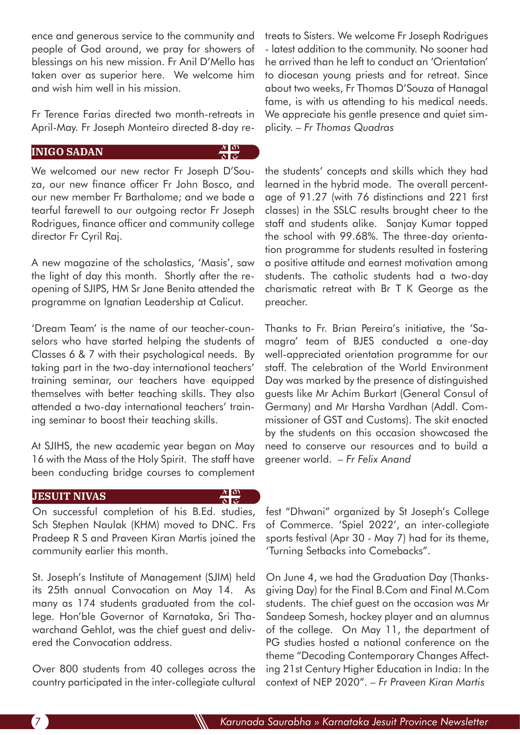ence and generous service to the community and people of God around, we pray for showers of blessings on his new mission. Fr Anil D'Mello has taken over as superior here. We welcome him and wish him well in his mission.

Fr Terence Farias directed two month-retreats in April-May. Fr Joseph Monteiro directed 8-day re-

# **INIGO SADAN**

We welcomed our new rector Fr Joseph D'Souza, our new finance officer Fr John Bosco, and our new member Fr Barthalome; and we bade a tearful farewell to our outgoing rector Fr Joseph Rodrigues, finance officer and community college director Fr Cyril Raj.

A new magazine of the scholastics, 'Masis', saw the light of day this month. Shortly after the reopening of SJIPS, HM Sr Jane Benita attended the programme on Ignatian Leadership at Calicut.

'Dream Team' is the name of our teacher-counselors who have started helping the students of Classes 6 & 7 with their psychological needs. By taking part in the two-day international teachers' training seminar, our teachers have equipped themselves with better teaching skills. They also attended a two-day international teachers' training seminar to boost their teaching skills.

At SJIHS, the new academic year began on May 16 with the Mass of the Holy Spirit. The staff have been conducting bridge courses to complement

### **JESUIT NIVAS**

# $\frac{\lambda}{\delta} \frac{0}{\varsigma}$

 $\frac{x}{\delta}$   $\frac{m}{\varsigma}$ 

On successful completion of his B.Ed. studies, Sch Stephen Naulak (KHM) moved to DNC. Frs Pradeep R S and Praveen Kiran Martis joined the community earlier this month.

St. Joseph's Institute of Management (SJIM) held its 25th annual Convocation on May 14. As many as 174 students graduated from the college. Hon'ble Governor of Karnataka, Sri Thawarchand Gehlot, was the chief guest and delivered the Convocation address.

Over 800 students from 40 colleges across the country participated in the inter-collegiate cultural treats to Sisters. We welcome Fr Joseph Rodrigues - latest addition to the community. No sooner had he arrived than he left to conduct an 'Orientation' to diocesan young priests and for retreat. Since about two weeks, Fr Thomas D'Souza of Hanagal fame, is with us attending to his medical needs. We appreciate his gentle presence and quiet simplicity. *– Fr Thomas Quadras* 

the students' concepts and skills which they had learned in the hybrid mode. The overall percentage of 91.27 (with 76 distinctions and 221 first classes) in the SSLC results brought cheer to the staff and students alike. Sanjay Kumar topped the school with 99.68%. The three-day orientation programme for students resulted in fostering a positive attitude and earnest motivation among students. The catholic students had a two-day charismatic retreat with Br T K George as the preacher.

Thanks to Fr. Brian Pereira's initiative, the 'Samagra' team of BJES conducted a one-day well-appreciated orientation programme for our staff. The celebration of the World Environment Day was marked by the presence of distinguished guests like Mr Achim Burkart (General Consul of Germany) and Mr Harsha Vardhan (Addl. Commissioner of GST and Customs). The skit enacted by the students on this occasion showcased the need to conserve our resources and to build a greener world. *– Fr Felix Anand*

fest "Dhwani" organized by St Joseph's College of Commerce. 'Spiel 2022', an inter-collegiate sports festival (Apr 30 - May 7) had for its theme, 'Turning Setbacks into Comebacks".

On June 4, we had the Graduation Day (Thanksgiving Day) for the Final B.Com and Final M.Com students. The chief guest on the occasion was Mr Sandeep Somesh, hockey player and an alumnus of the college. On May 11, the department of PG studies hosted a national conference on the theme "Decoding Contemporary Changes Affecting 21st Century Higher Education in India: In the context of NEP 2020". *– Fr Praveen Kiran Martis*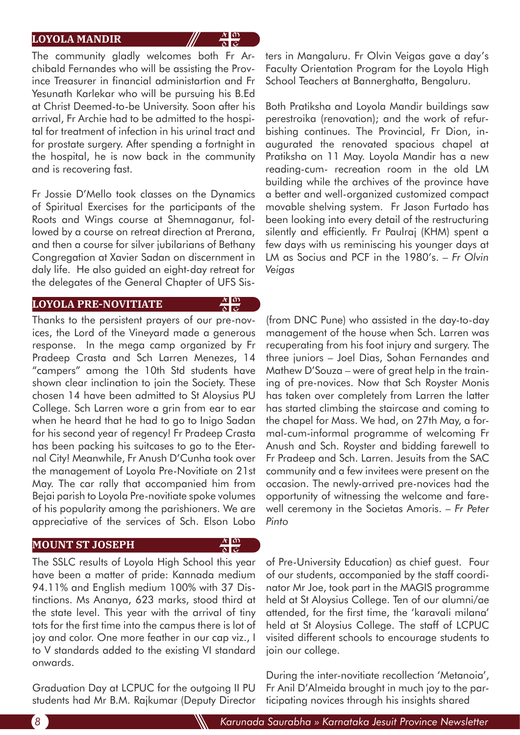### **LOYOLA MANDIR**

The community gladly welcomes both Fr Archibald Fernandes who will be assisting the Province Treasurer in financial administartion and Fr Yesunath Karlekar who will be pursuing his B.Ed at Christ Deemed-to-be University. Soon after his arrival, Fr Archie had to be admitted to the hospital for treatment of infection in his urinal tract and for prostate surgery. After spending a fortnight in the hospital, he is now back in the community and is recovering fast.

Fr Jossie D'Mello took classes on the Dynamics of Spiritual Exercises for the participants of the Roots and Wings course at Shemnaganur, followed by a course on retreat direction at Prerana, and then a course for silver jubilarians of Bethany Congregation at Xavier Sadan on discernment in daly life. He also guided an eight-day retreat for the delegates of the General Chapter of UFS Sis-

#### **LOYOLA PRE-NOVITIATE**

 $\frac{x}{\delta} \frac{0}{\delta}$ 

 $\frac{A}{\delta}$  $\frac{0}{\varsigma}$ 

 $\frac{x}{\delta}$  or

Thanks to the persistent prayers of our pre-novices, the Lord of the Vineyard made a generous response. In the mega camp organized by Fr Pradeep Crasta and Sch Larren Menezes, 14 "campers" among the 10th Std students have shown clear inclination to join the Society. These chosen 14 have been admitted to St Aloysius PU College. Sch Larren wore a grin from ear to ear when he heard that he had to go to Inigo Sadan for his second year of regency! Fr Pradeep Crasta has been packing his suitcases to go to the Eternal City! Meanwhile, Fr Anush D'Cunha took over the management of Loyola Pre-Novitiate on 21st May. The car rally that accompanied him from Bejai parish to Loyola Pre-novitiate spoke volumes of his popularity among the parishioners. We are appreciative of the services of Sch. Elson Lobo

#### **MOUNT ST JOSEPH**

The SSLC results of Loyola High School this year have been a matter of pride: Kannada medium 94.11% and English medium 100% with 37 Distinctions. Ms Ananya, 623 marks, stood third at the state level. This year with the arrival of tiny tots for the first time into the campus there is lot of joy and color. One more feather in our cap viz., I to V standards added to the existing VI standard onwards.

Graduation Day at LCPUC for the outgoing II PU students had Mr B.M. Rajkumar (Deputy Director ters in Mangaluru. Fr Olvin Veigas gave a day's Faculty Orientation Program for the Loyola High School Teachers at Bannerghatta, Bengaluru.

Both Pratiksha and Loyola Mandir buildings saw perestroika (renovation); and the work of refurbishing continues. The Provincial, Fr Dion, inaugurated the renovated spacious chapel at Pratiksha on 11 May. Loyola Mandir has a new reading-cum- recreation room in the old LM building while the archives of the province have a better and well-organized customized compact movable shelving system. Fr Jason Furtado has been looking into every detail of the restructuring silently and efficiently. Fr Paulraj (KHM) spent a few days with us reminiscing his younger days at LM as Socius and PCF in the 1980's. *– Fr Olvin Veigas*

(from DNC Pune) who assisted in the day-to-day management of the house when Sch. Larren was recuperating from his foot injury and surgery. The three juniors – Joel Dias, Sohan Fernandes and Mathew D'Souza – were of great help in the training of pre-novices. Now that Sch Royster Monis has taken over completely from Larren the latter has started climbing the staircase and coming to the chapel for Mass. We had, on 27th May, a formal-cum-informal programme of welcoming Fr Anush and Sch. Royster and bidding farewell to Fr Pradeep and Sch. Larren. Jesuits from the SAC community and a few invitees were present on the occasion. The newly-arrived pre-novices had the opportunity of witnessing the welcome and farewell ceremony in the Societas Amoris. *– Fr Peter Pinto*

of Pre-University Education) as chief guest. Four of our students, accompanied by the staff coordinator Mr Joe, took part in the MAGIS programme held at St Aloysius College. Ten of our alumni/ae attended, for the first time, the 'karavali milana' held at St Aloysius College. The staff of LCPUC visited different schools to encourage students to join our college.

During the inter-novitiate recollection 'Metanoia', Fr Anil D'Almeida brought in much joy to the participating novices through his insights shared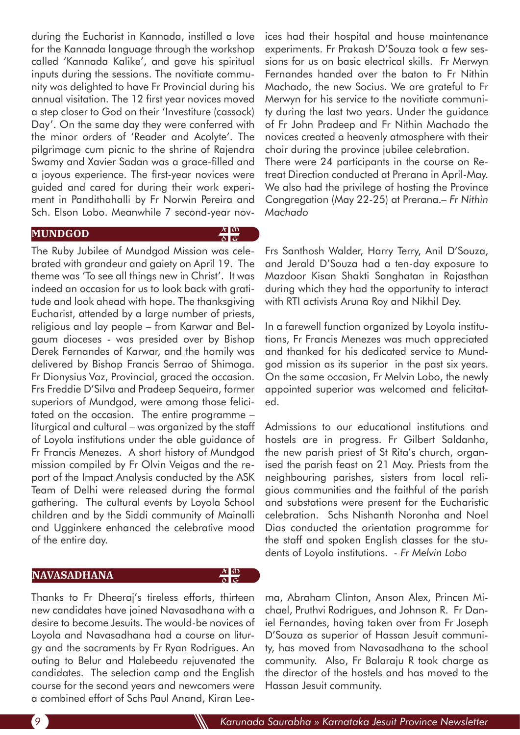during the Eucharist in Kannada, instilled a love for the Kannada language through the workshop called 'Kannada Kalike', and gave his spiritual inputs during the sessions. The novitiate community was delighted to have Fr Provincial during his annual visitation. The 12 first year novices moved a step closer to God on their 'Investiture (cassock) Day'. On the same day they were conferred with the minor orders of 'Reader and Acolyte'. The pilgrimage cum picnic to the shrine of Rajendra Swamy and Xavier Sadan was a grace-filled and a joyous experience. The first-year novices were guided and cared for during their work experiment in Pandithahalli by Fr Norwin Pereira and Sch. Elson Lobo. Meanwhile 7 second-year nov-

### **MUNDGOD**

 $\frac{\lambda}{\delta} \frac{d\Omega}{d\varsigma}$ 

 $\frac{\lambda}{\delta} \frac{d\Omega}{d\zeta}$ 

The Ruby Jubilee of Mundgod Mission was celebrated with grandeur and gaiety on April 19. The theme was 'To see all things new in Christ'. It was indeed an occasion for us to look back with gratitude and look ahead with hope. The thanksgiving Eucharist, attended by a large number of priests, religious and lay people – from Karwar and Belgaum dioceses - was presided over by Bishop Derek Fernandes of Karwar, and the homily was delivered by Bishop Francis Serrao of Shimoga. Fr Dionysius Vaz, Provincial, graced the occasion. Frs Freddie D'Silva and Pradeep Sequeira, former superiors of Mundgod, were among those felicitated on the occasion. The entire programme – liturgical and cultural – was organized by the staff of Loyola institutions under the able guidance of Fr Francis Menezes. A short history of Mundgod mission compiled by Fr Olvin Veigas and the report of the Impact Analysis conducted by the ASK Team of Delhi were released during the formal gathering. The cultural events by Loyola School children and by the Siddi community of Mainalli and Ugginkere enhanced the celebrative mood of the entire day.

### **NAVASADHANA**

Thanks to Fr Dheeraj's tireless efforts, thirteen new candidates have joined Navasadhana with a desire to become Jesuits. The would-be novices of Loyola and Navasadhana had a course on liturgy and the sacraments by Fr Ryan Rodrigues. An outing to Belur and Halebeedu rejuvenated the candidates. The selection camp and the English course for the second years and newcomers were a combined effort of Schs Paul Anand, Kiran Leeices had their hospital and house maintenance experiments. Fr Prakash D'Souza took a few sessions for us on basic electrical skills. Fr Merwyn Fernandes handed over the baton to Fr Nithin Machado, the new Socius. We are grateful to Fr Merwyn for his service to the novitiate community during the last two years. Under the guidance of Fr John Pradeep and Fr Nithin Machado the novices created a heavenly atmosphere with their choir during the province jubilee celebration. There were 24 participants in the course on Retreat Direction conducted at Prerana in April-May. We also had the privilege of hosting the Province Congregation (May 22-25) at Prerana.*– Fr Nithin Machado*

Frs Santhosh Walder, Harry Terry, Anil D'Souza, and Jerald D'Souza had a ten-day exposure to Mazdoor Kisan Shakti Sanghatan in Rajasthan during which they had the opportunity to interact with RTI activists Aruna Roy and Nikhil Dey.

In a farewell function organized by Loyola institutions, Fr Francis Menezes was much appreciated and thanked for his dedicated service to Mundgod mission as its superior in the past six years. On the same occasion, Fr Melvin Lobo, the newly appointed superior was welcomed and felicitated.

Admissions to our educational institutions and hostels are in progress. Fr Gilbert Saldanha, the new parish priest of St Rita's church, organised the parish feast on 21 May. Priests from the neighbouring parishes, sisters from local religious communities and the faithful of the parish and substations were present for the Eucharistic celebration. Schs Nishanth Noronha and Noel Dias conducted the orientation programme for the staff and spoken English classes for the students of Loyola institutions. *- Fr Melvin Lobo*

ma, Abraham Clinton, Anson Alex, Princen Michael, Pruthvi Rodrigues, and Johnson R. Fr Daniel Fernandes, having taken over from Fr Joseph D'Souza as superior of Hassan Jesuit community, has moved from Navasadhana to the school community. Also, Fr Balaraju R took charge as the director of the hostels and has moved to the Hassan Jesuit community.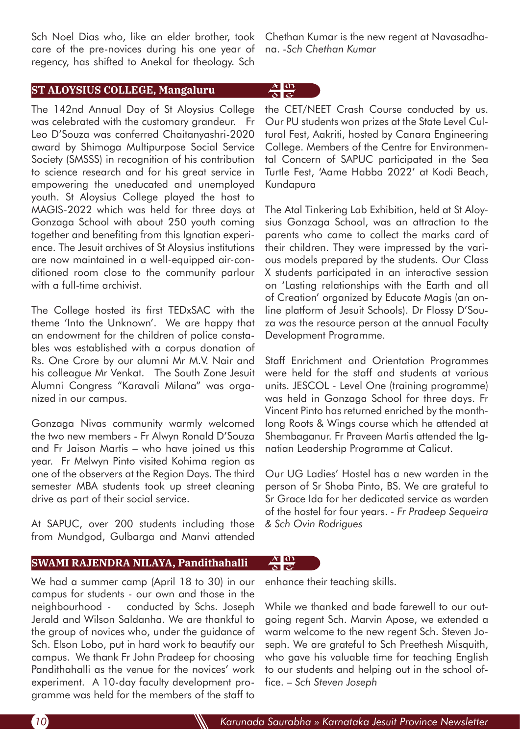Sch Noel Dias who, like an elder brother, took care of the pre-novices during his one year of regency, has shifted to Anekal for theology. Sch

**ST ALOYSIUS COLLEGE, Mangaluru**

The 142nd Annual Day of St Aloysius College was celebrated with the customary grandeur. Fr Leo D'Souza was conferred Chaitanyashri-2020 award by Shimoga Multipurpose Social Service Society (SMSSS) in recognition of his contribution to science research and for his great service in empowering the uneducated and unemployed youth. St Aloysius College played the host to MAGIS-2022 which was held for three days at Gonzaga School with about 250 youth coming together and benefiting from this Ignatian experience. The Jesuit archives of St Aloysius institutions are now maintained in a well-equipped air-conditioned room close to the community parlour with a full-time archivist.

The College hosted its first TEDxSAC with the theme 'Into the Unknown'. We are happy that an endowment for the children of police constables was established with a corpus donation of Rs. One Crore by our alumni Mr M.V. Nair and his colleague Mr Venkat. The South Zone Jesuit Alumni Congress "Karavali Milana" was organized in our campus.

Gonzaga Nivas community warmly welcomed the two new members - Fr Alwyn Ronald D'Souza and Fr Jaison Martis – who have joined us this year. Fr Melwyn Pinto visited Kohima region as one of the observers at the Region Days. The third semester MBA students took up street cleaning drive as part of their social service.

At SAPUC, over 200 students including those from Mundgod, Gulbarga and Manvi attended

## **SWAMI RAJENDRA NILAYA, Pandithahalli**

We had a summer camp (April 18 to 30) in our campus for students - our own and those in the neighbourhood - conducted by Schs. Joseph Jerald and Wilson Saldanha. We are thankful to the group of novices who, under the guidance of Sch. Elson Lobo, put in hard work to beautify our campus. We thank Fr John Pradeep for choosing Pandithahalli as the venue for the novices' work experiment. A 10-day faculty development programme was held for the members of the staff to

Chethan Kumar is the new regent at Navasadhana. *-Sch Chethan Kumar*

# $\frac{A}{\delta}$  $\frac{0}{\epsilon}$

the CET/NEET Crash Course conducted by us. Our PU students won prizes at the State Level Cultural Fest, Aakriti, hosted by Canara Engineering College. Members of the Centre for Environmental Concern of SAPUC participated in the Sea Turtle Fest, 'Aame Habba 2022' at Kodi Beach, Kundapura

The Atal Tinkering Lab Exhibition, held at St Aloysius Gonzaga School, was an attraction to the parents who came to collect the marks card of their children. They were impressed by the various models prepared by the students. Our Class X students participated in an interactive session on 'Lasting relationships with the Earth and all of Creation' organized by Educate Magis (an online platform of Jesuit Schools). Dr Flossy D'Souza was the resource person at the annual Faculty Development Programme.

Staff Enrichment and Orientation Programmes were held for the staff and students at various units. JESCOL - Level One (training programme) was held in Gonzaga School for three days. Fr Vincent Pinto has returned enriched by the monthlong Roots & Wings course which he attended at Shembaganur. Fr Praveen Martis attended the Ignatian Leadership Programme at Calicut.

Our UG Ladies' Hostel has a new warden in the person of Sr Shoba Pinto, BS. We are grateful to Sr Grace Ida for her dedicated service as warden of the hostel for four years. *- Fr Pradeep Sequeira & Sch Ovin Rodrigues* 

enhance their teaching skills.

 $\frac{x}{\delta}$  $\frac{0}{\varsigma}$ 

While we thanked and bade farewell to our outgoing regent Sch. Marvin Apose, we extended a warm welcome to the new regent Sch. Steven Joseph. We are grateful to Sch Preethesh Misquith, who gave his valuable time for teaching English to our students and helping out in the school office. *– Sch Steven Joseph*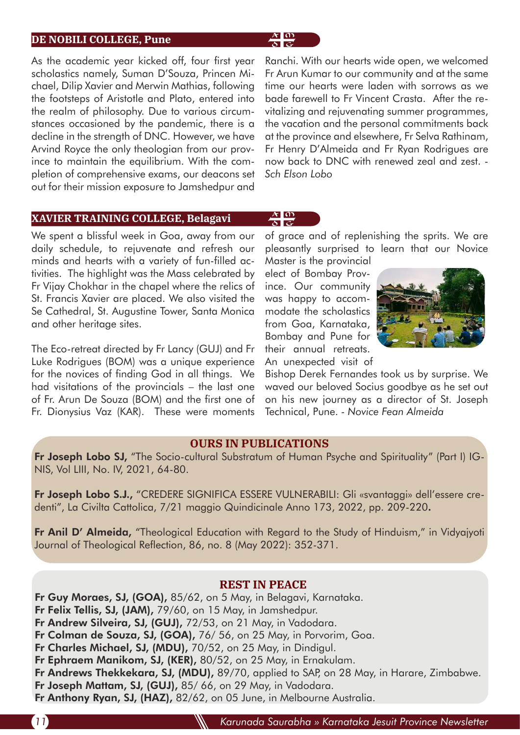### **DE NOBILI COLLEGE, Pune**

As the academic year kicked off, four first year scholastics namely, Suman D'Souza, Princen Michael, Dilip Xavier and Merwin Mathias, following the footsteps of Aristotle and Plato, entered into the realm of philosophy. Due to various circumstances occasioned by the pandemic, there is a decline in the strength of DNC. However, we have Arvind Royce the only theologian from our province to maintain the equilibrium. With the completion of comprehensive exams, our deacons set out for their mission exposure to Jamshedpur and Ranchi. With our hearts wide open, we welcomed Fr Arun Kumar to our community and at the same time our hearts were laden with sorrows as we bade farewell to Fr Vincent Crasta. After the revitalizing and rejuvenating summer programmes, the vacation and the personal commitments back at the province and elsewhere, Fr Selva Rathinam, Fr Henry D'Almeida and Fr Ryan Rodrigues are now back to DNC with renewed zeal and zest. - *Sch Elson Lobo* 

# **XAVIER TRAINING COLLEGE, Belagavi**

We spent a blissful week in Goa, away from our daily schedule, to rejuvenate and refresh our minds and hearts with a variety of fun-filled activities. The highlight was the Mass celebrated by Fr Vijay Chokhar in the chapel where the relics of St. Francis Xavier are placed. We also visited the Se Cathedral, St. Augustine Tower, Santa Monica and other heritage sites.

The Eco-retreat directed by Fr Lancy (GUJ) and Fr Luke Rodrigues (BOM) was a unique experience for the novices of finding God in all things. We had visitations of the provincials – the last one of Fr. Arun De Souza (BOM) and the first one of Fr. Dionysius Vaz (KAR). These were moments

of grace and of replenishing the sprits. We are pleasantly surprised to learn that our Novice

Master is the provincial elect of Bombay Province. Our community was happy to accommodate the scholastics from Goa, Karnataka, Bombay and Pune for their annual retreats. An unexpected visit of

 $\frac{A}{\delta}$  $\frac{0}{\epsilon}$ 

 $\frac{\lambda}{\delta} \frac{0}{\varsigma}$ 



Bishop Derek Fernandes took us by surprise. We waved our beloved Socius goodbye as he set out on his new journey as a director of St. Joseph Technical, Pune. *- Novice Fean Almeida* 

### **OURS IN PUBLICATIONS**

Fr Joseph Lobo SJ, "The Socio-cultural Substratum of Human Psyche and Spirituality" (Part I) IG-NIS, Vol LIII, No. IV, 2021, 64-80.

Fr Joseph Lobo S.J., "CREDERE SIGNIFICA ESSERE VULNERABILI: Gli «svantaggi» dell'essere credenti", La Civilta Cattolica, 7/21 maggio Quindicinale Anno 173, 2022, pp. 209-220.

Fr Anil D' Almeida, "Theological Education with Regard to the Study of Hinduism," in Vidyajyoti Journal of Theological Reflection, 86, no. 8 (May 2022): 352-371.

### **REST IN PEACE**

- Fr Guy Moraes, SJ, (GOA), 85/62, on 5 May, in Belagavi, Karnataka.
- Fr Felix Tellis, SJ, (JAM), 79/60, on 15 May, in Jamshedpur.
- Fr Andrew Silveira, SJ, (GUJ), 72/53, on 21 May, in Vadodara.
- Fr Colman de Souza, SJ, (GOA), 76/56, on 25 May, in Porvorim, Goa.
- Fr Charles Michael, SJ, (MDU), 70/52, on 25 May, in Dindigul.
- Fr Ephraem Manikom, SJ, (KER), 80/52, on 25 May, in Ernakulam.
- Fr Andrews Thekkekara, SJ, (MDU), 89/70, applied to SAP, on 28 May, in Harare, Zimbabwe. Fr Joseph Mattam, SJ, (GUJ), 85/66, on 29 May, in Vadodara.
- 
- Fr Anthony Ryan, SJ, (HAZ), 82/62, on 05 June, in Melbourne Australia.